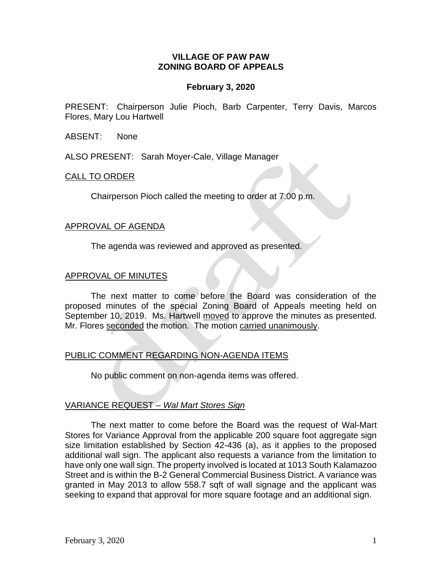## **VILLAGE OF PAW PAW ZONING BOARD OF APPEALS**

## **February 3, 2020**

PRESENT: Chairperson Julie Pioch, Barb Carpenter, Terry Davis, Marcos Flores, Mary Lou Hartwell

ABSENT: None

ALSO PRESENT: Sarah Moyer-Cale, Village Manager

#### CALL TO ORDER

Chairperson Pioch called the meeting to order at 7:00 p.m.

#### APPROVAL OF AGENDA

The agenda was reviewed and approved as presented.

#### APPROVAL OF MINUTES

The next matter to come before the Board was consideration of the proposed minutes of the special Zoning Board of Appeals meeting held on September 10, 2019. Ms. Hartwell moved to approve the minutes as presented. Mr. Flores seconded the motion. The motion carried unanimously.

#### PUBLIC COMMENT REGARDING NON-AGENDA ITEMS

No public comment on non-agenda items was offered.

#### VARIANCE REQUEST *– Wal Mart Stores Sign*

The next matter to come before the Board was the request of Wal-Mart Stores for Variance Approval from the applicable 200 square foot aggregate sign size limitation established by Section 42-436 (a), as it applies to the proposed additional wall sign. The applicant also requests a variance from the limitation to have only one wall sign. The property involved is located at 1013 South Kalamazoo Street and is within the B-2 General Commercial Business District. A variance was granted in May 2013 to allow 558.7 sqft of wall signage and the applicant was seeking to expand that approval for more square footage and an additional sign.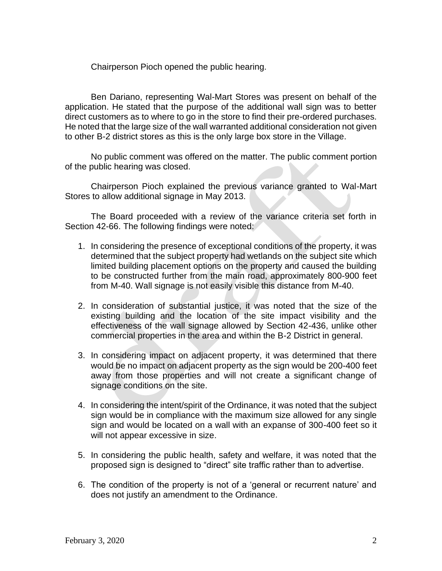Chairperson Pioch opened the public hearing.

Ben Dariano, representing Wal-Mart Stores was present on behalf of the application. He stated that the purpose of the additional wall sign was to better direct customers as to where to go in the store to find their pre-ordered purchases. He noted that the large size of the wall warranted additional consideration not given to other B-2 district stores as this is the only large box store in the Village.

No public comment was offered on the matter. The public comment portion of the public hearing was closed.

Chairperson Pioch explained the previous variance granted to Wal-Mart Stores to allow additional signage in May 2013.

The Board proceeded with a review of the variance criteria set forth in Section 42-66. The following findings were noted:

- 1. In considering the presence of exceptional conditions of the property, it was determined that the subject property had wetlands on the subject site which limited building placement options on the property and caused the building to be constructed further from the main road, approximately 800-900 feet from M-40. Wall signage is not easily visible this distance from M-40.
- 2. In consideration of substantial justice, it was noted that the size of the existing building and the location of the site impact visibility and the effectiveness of the wall signage allowed by Section 42-436, unlike other commercial properties in the area and within the B-2 District in general.
- 3. In considering impact on adjacent property, it was determined that there would be no impact on adjacent property as the sign would be 200-400 feet away from those properties and will not create a significant change of signage conditions on the site.
- 4. In considering the intent/spirit of the Ordinance, it was noted that the subject sign would be in compliance with the maximum size allowed for any single sign and would be located on a wall with an expanse of 300-400 feet so it will not appear excessive in size.
- 5. In considering the public health, safety and welfare, it was noted that the proposed sign is designed to "direct" site traffic rather than to advertise.
- 6. The condition of the property is not of a 'general or recurrent nature' and does not justify an amendment to the Ordinance.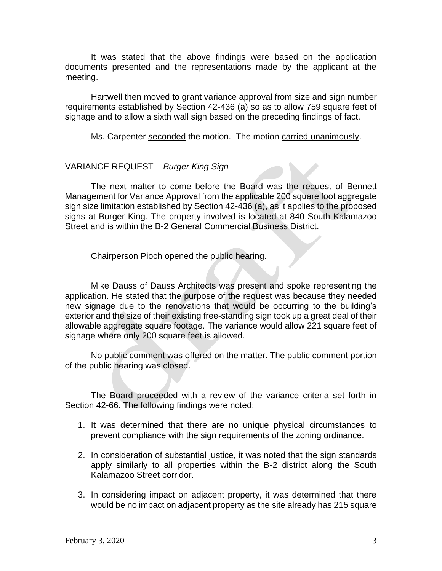It was stated that the above findings were based on the application documents presented and the representations made by the applicant at the meeting.

Hartwell then moved to grant variance approval from size and sign number requirements established by Section 42-436 (a) so as to allow 759 square feet of signage and to allow a sixth wall sign based on the preceding findings of fact.

Ms. Carpenter seconded the motion. The motion carried unanimously.

### VARIANCE REQUEST *– Burger King Sign*

The next matter to come before the Board was the request of Bennett Management for Variance Approval from the applicable 200 square foot aggregate sign size limitation established by Section 42-436 (a), as it applies to the proposed signs at Burger King. The property involved is located at 840 South Kalamazoo Street and is within the B-2 General Commercial Business District.

Chairperson Pioch opened the public hearing.

Mike Dauss of Dauss Architects was present and spoke representing the application. He stated that the purpose of the request was because they needed new signage due to the renovations that would be occurring to the building's exterior and the size of their existing free-standing sign took up a great deal of their allowable aggregate square footage. The variance would allow 221 square feet of signage where only 200 square feet is allowed.

No public comment was offered on the matter. The public comment portion of the public hearing was closed.

The Board proceeded with a review of the variance criteria set forth in Section 42-66. The following findings were noted:

- 1. It was determined that there are no unique physical circumstances to prevent compliance with the sign requirements of the zoning ordinance.
- 2. In consideration of substantial justice, it was noted that the sign standards apply similarly to all properties within the B-2 district along the South Kalamazoo Street corridor.
- 3. In considering impact on adjacent property, it was determined that there would be no impact on adjacent property as the site already has 215 square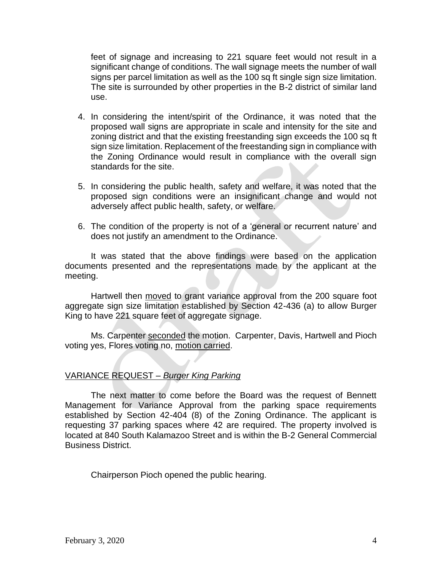feet of signage and increasing to 221 square feet would not result in a significant change of conditions. The wall signage meets the number of wall signs per parcel limitation as well as the 100 sq ft single sign size limitation. The site is surrounded by other properties in the B-2 district of similar land use.

- 4. In considering the intent/spirit of the Ordinance, it was noted that the proposed wall signs are appropriate in scale and intensity for the site and zoning district and that the existing freestanding sign exceeds the 100 sq ft sign size limitation. Replacement of the freestanding sign in compliance with the Zoning Ordinance would result in compliance with the overall sign standards for the site.
- 5. In considering the public health, safety and welfare, it was noted that the proposed sign conditions were an insignificant change and would not adversely affect public health, safety, or welfare.
- 6. The condition of the property is not of a 'general or recurrent nature' and does not justify an amendment to the Ordinance.

It was stated that the above findings were based on the application documents presented and the representations made by the applicant at the meeting.

Hartwell then moved to grant variance approval from the 200 square foot aggregate sign size limitation established by Section 42-436 (a) to allow Burger King to have 221 square feet of aggregate signage.

Ms. Carpenter seconded the motion. Carpenter, Davis, Hartwell and Pioch voting yes, Flores voting no, motion carried.

# VARIANCE REQUEST *– Burger King Parking*

The next matter to come before the Board was the request of Bennett Management for Variance Approval from the parking space requirements established by Section 42-404 (8) of the Zoning Ordinance. The applicant is requesting 37 parking spaces where 42 are required. The property involved is located at 840 South Kalamazoo Street and is within the B-2 General Commercial Business District.

Chairperson Pioch opened the public hearing.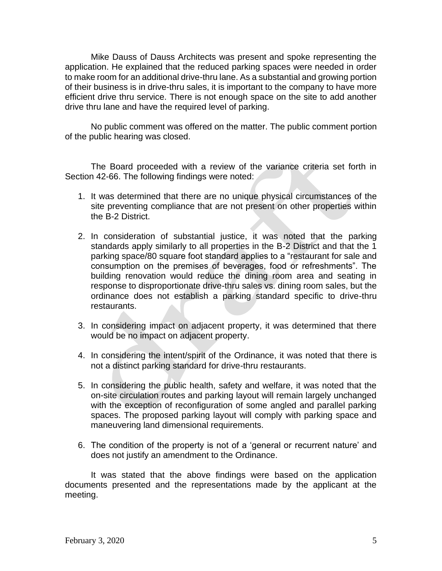Mike Dauss of Dauss Architects was present and spoke representing the application. He explained that the reduced parking spaces were needed in order to make room for an additional drive-thru lane. As a substantial and growing portion of their business is in drive-thru sales, it is important to the company to have more efficient drive thru service. There is not enough space on the site to add another drive thru lane and have the required level of parking.

No public comment was offered on the matter. The public comment portion of the public hearing was closed.

The Board proceeded with a review of the variance criteria set forth in Section 42-66. The following findings were noted:

- 1. It was determined that there are no unique physical circumstances of the site preventing compliance that are not present on other properties within the B-2 District.
- 2. In consideration of substantial justice, it was noted that the parking standards apply similarly to all properties in the B-2 District and that the 1 parking space/80 square foot standard applies to a "restaurant for sale and consumption on the premises of beverages, food or refreshments". The building renovation would reduce the dining room area and seating in response to disproportionate drive-thru sales vs. dining room sales, but the ordinance does not establish a parking standard specific to drive-thru restaurants.
- 3. In considering impact on adjacent property, it was determined that there would be no impact on adjacent property.
- 4. In considering the intent/spirit of the Ordinance, it was noted that there is not a distinct parking standard for drive-thru restaurants.
- 5. In considering the public health, safety and welfare, it was noted that the on-site circulation routes and parking layout will remain largely unchanged with the exception of reconfiguration of some angled and parallel parking spaces. The proposed parking layout will comply with parking space and maneuvering land dimensional requirements.
- 6. The condition of the property is not of a 'general or recurrent nature' and does not justify an amendment to the Ordinance.

It was stated that the above findings were based on the application documents presented and the representations made by the applicant at the meeting.